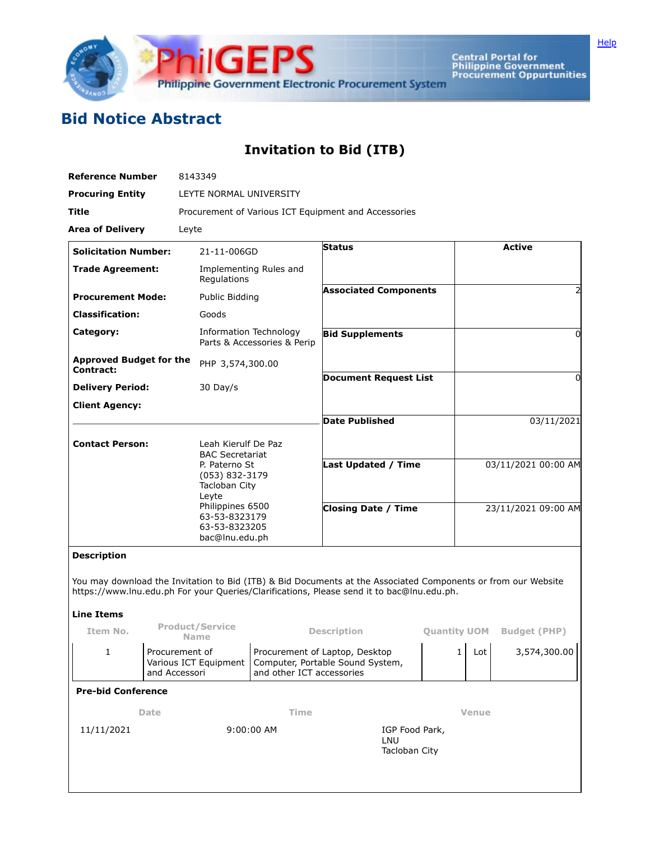

Central Portal for<br>Philippine Government<br>Procurement Oppurtunities

## **Bid Notice Abstract**

## **Invitation to Bid (ITB)**

| <b>Reference Number</b>                     |                                                          | 8143349                                                                                                                                                                            |                                                                                                 |                              |                                        |                          |                     |                                                                                                               |  |
|---------------------------------------------|----------------------------------------------------------|------------------------------------------------------------------------------------------------------------------------------------------------------------------------------------|-------------------------------------------------------------------------------------------------|------------------------------|----------------------------------------|--------------------------|---------------------|---------------------------------------------------------------------------------------------------------------|--|
| <b>Procuring Entity</b>                     |                                                          | LEYTE NORMAL UNIVERSITY                                                                                                                                                            |                                                                                                 |                              |                                        |                          |                     |                                                                                                               |  |
| Title                                       |                                                          | Procurement of Various ICT Equipment and Accessories                                                                                                                               |                                                                                                 |                              |                                        |                          |                     |                                                                                                               |  |
| <b>Area of Delivery</b>                     |                                                          | Leyte                                                                                                                                                                              |                                                                                                 |                              |                                        |                          |                     |                                                                                                               |  |
| <b>Solicitation Number:</b>                 |                                                          | 21-11-006GD                                                                                                                                                                        |                                                                                                 | <b>Status</b>                |                                        |                          |                     | <b>Active</b>                                                                                                 |  |
| <b>Trade Agreement:</b>                     |                                                          | Regulations                                                                                                                                                                        | Implementing Rules and                                                                          |                              |                                        |                          |                     |                                                                                                               |  |
| <b>Procurement Mode:</b>                    |                                                          | Public Bidding                                                                                                                                                                     |                                                                                                 | <b>Associated Components</b> |                                        |                          |                     | 2                                                                                                             |  |
| <b>Classification:</b>                      |                                                          | Goods                                                                                                                                                                              |                                                                                                 |                              |                                        |                          |                     |                                                                                                               |  |
| Category:                                   |                                                          | Information Technology<br>Parts & Accessories & Perip                                                                                                                              |                                                                                                 | <b>Bid Supplements</b>       |                                        |                          | 0                   |                                                                                                               |  |
| <b>Approved Budget for the</b><br>Contract: |                                                          | PHP 3,574,300.00                                                                                                                                                                   |                                                                                                 |                              |                                        |                          |                     |                                                                                                               |  |
| <b>Delivery Period:</b>                     |                                                          | 30 Day/s                                                                                                                                                                           |                                                                                                 | <b>Document Request List</b> |                                        |                          |                     | 0                                                                                                             |  |
| <b>Client Agency:</b>                       |                                                          |                                                                                                                                                                                    |                                                                                                 |                              |                                        |                          |                     |                                                                                                               |  |
|                                             |                                                          |                                                                                                                                                                                    |                                                                                                 | <b>Date Published</b>        |                                        |                          |                     | 03/11/2021                                                                                                    |  |
| <b>Contact Person:</b>                      |                                                          | Leah Kierulf De Paz<br><b>BAC Secretariat</b><br>P. Paterno St<br>(053) 832-3179<br>Tacloban City<br>Leyte<br>Philippines 6500<br>63-53-8323179<br>63-53-8323205<br>bac@lnu.edu.ph |                                                                                                 |                              |                                        |                          |                     |                                                                                                               |  |
|                                             |                                                          |                                                                                                                                                                                    |                                                                                                 | Last Updated / Time          |                                        | 03/11/2021 00:00 AM      |                     |                                                                                                               |  |
|                                             |                                                          |                                                                                                                                                                                    |                                                                                                 | <b>Closing Date / Time</b>   |                                        |                          | 23/11/2021 09:00 AM |                                                                                                               |  |
| <b>Description</b>                          |                                                          |                                                                                                                                                                                    |                                                                                                 |                              |                                        |                          |                     |                                                                                                               |  |
| <b>Line Items</b>                           |                                                          |                                                                                                                                                                                    | https://www.lnu.edu.ph For your Queries/Clarifications, Please send it to bac@lnu.edu.ph.       |                              |                                        |                          |                     | You may download the Invitation to Bid (ITB) & Bid Documents at the Associated Components or from our Website |  |
| Item No.                                    | <b>Product/Service</b><br><b>Name</b>                    |                                                                                                                                                                                    |                                                                                                 | <b>Description</b>           |                                        |                          |                     | <b>Quantity UOM</b> Budget (PHP)                                                                              |  |
| 1                                           | Procurement of<br>Various ICT Equipment<br>and Accessori |                                                                                                                                                                                    | Procurement of Laptop, Desktop<br>Computer, Portable Sound System,<br>and other ICT accessories |                              |                                        | <b>Contract Contract</b> | $\mathbf{1}$<br>Lot | 3,574,300.00                                                                                                  |  |
| <b>Pre-bid Conference</b>                   |                                                          |                                                                                                                                                                                    |                                                                                                 |                              |                                        |                          |                     |                                                                                                               |  |
| Date                                        |                                                          | Time                                                                                                                                                                               |                                                                                                 |                              |                                        | <b>Venue</b>             |                     |                                                                                                               |  |
| 11/11/2021                                  |                                                          |                                                                                                                                                                                    | 9:00:00 AM                                                                                      |                              | IGP Food Park,<br>LNU<br>Tacloban City |                          |                     |                                                                                                               |  |
|                                             |                                                          |                                                                                                                                                                                    |                                                                                                 |                              |                                        |                          |                     |                                                                                                               |  |